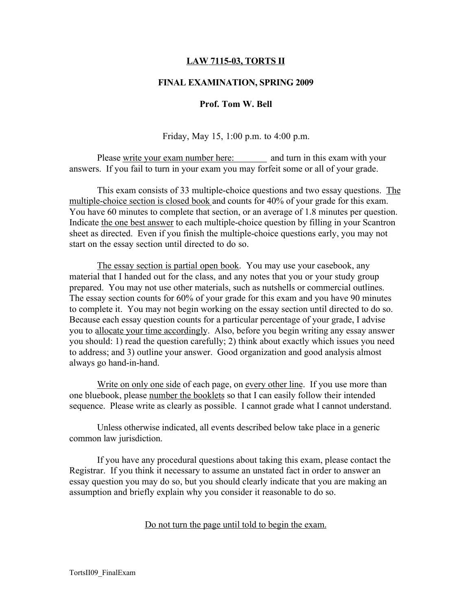## LAW 7115-03, TORTS II

#### FINAL EXAMINATION, SPRING 2009

#### Prof. Tom W. Bell

Friday, May 15, 1:00 p.m. to 4:00 p.m.

Please write your exam number here: and turn in this exam with your answers. If you fail to turn in your exam you may forfeit some or all of your grade.

This exam consists of 33 multiple-choice questions and two essay questions. The multiple-choice section is closed book and counts for 40% of your grade for this exam. You have 60 minutes to complete that section, or an average of 1.8 minutes per question. Indicate the one best answer to each multiple-choice question by filling in your Scantron sheet as directed. Even if you finish the multiple-choice questions early, you may not start on the essay section until directed to do so.

The essay section is partial open book. You may use your casebook, any material that I handed out for the class, and any notes that you or your study group prepared. You may not use other materials, such as nutshells or commercial outlines. The essay section counts for 60% of your grade for this exam and you have 90 minutes to complete it. You may not begin working on the essay section until directed to do so. Because each essay question counts for a particular percentage of your grade, I advise you to allocate your time accordingly. Also, before you begin writing any essay answer you should: 1) read the question carefully; 2) think about exactly which issues you need to address; and 3) outline your answer. Good organization and good analysis almost always go hand-in-hand.

Write on only one side of each page, on every other line. If you use more than one bluebook, please number the booklets so that I can easily follow their intended sequence. Please write as clearly as possible. I cannot grade what I cannot understand.

Unless otherwise indicated, all events described below take place in a generic common law jurisdiction.

If you have any procedural questions about taking this exam, please contact the Registrar. If you think it necessary to assume an unstated fact in order to answer an essay question you may do so, but you should clearly indicate that you are making an assumption and briefly explain why you consider it reasonable to do so.

#### Do not turn the page until told to begin the exam.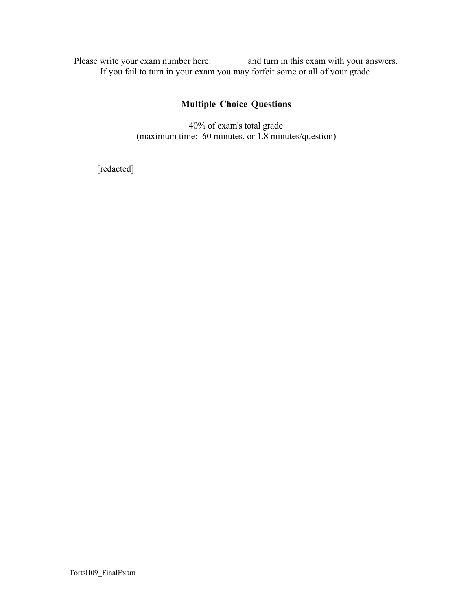Please write your exam number here: and turn in this exam with your answers. If you fail to turn in your exam you may forfeit some or all of your grade.

# Multiple Choice Questions

40% of exam's total grade (maximum time: 60 minutes, or 1.8 minutes/question)

[redacted]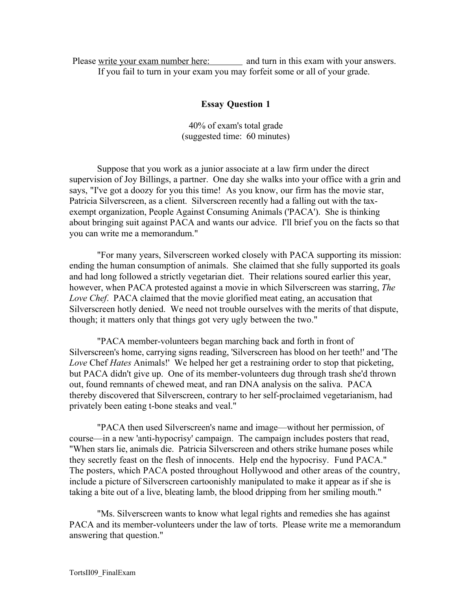Please write your exam number here: and turn in this exam with your answers. If you fail to turn in your exam you may forfeit some or all of your grade.

# Essay Question 1

40% of exam's total grade (suggested time: 60 minutes)

Suppose that you work as a junior associate at a law firm under the direct supervision of Joy Billings, a partner. One day she walks into your office with a grin and says, "I've got a doozy for you this time! As you know, our firm has the movie star, Patricia Silverscreen, as a client. Silverscreen recently had a falling out with the taxexempt organization, People Against Consuming Animals ('PACA'). She is thinking about bringing suit against PACA and wants our advice. I'll brief you on the facts so that you can write me a memorandum."

"For many years, Silverscreen worked closely with PACA supporting its mission: ending the human consumption of animals. She claimed that she fully supported its goals and had long followed a strictly vegetarian diet. Their relations soured earlier this year, however, when PACA protested against a movie in which Silverscreen was starring, *The Love Chef*. PACA claimed that the movie glorified meat eating, an accusation that Silverscreen hotly denied. We need not trouble ourselves with the merits of that dispute, though; it matters only that things got very ugly between the two."

"PACA member-volunteers began marching back and forth in front of Silverscreen's home, carrying signs reading, 'Silverscreen has blood on her teeth!' and 'The *Love* Chef *Hates* Animals!' We helped her get a restraining order to stop that picketing, but PACA didn't give up. One of its member-volunteers dug through trash she'd thrown out, found remnants of chewed meat, and ran DNA analysis on the saliva. PACA thereby discovered that Silverscreen, contrary to her self-proclaimed vegetarianism, had privately been eating t-bone steaks and veal."

"PACA then used Silverscreen's name and image—without her permission, of course—in a new 'anti-hypocrisy' campaign. The campaign includes posters that read, "When stars lie, animals die. Patricia Silverscreen and others strike humane poses while they secretly feast on the flesh of innocents. Help end the hypocrisy. Fund PACA." The posters, which PACA posted throughout Hollywood and other areas of the country, include a picture of Silverscreen cartoonishly manipulated to make it appear as if she is taking a bite out of a live, bleating lamb, the blood dripping from her smiling mouth."

"Ms. Silverscreen wants to know what legal rights and remedies she has against PACA and its member-volunteers under the law of torts. Please write me a memorandum answering that question."